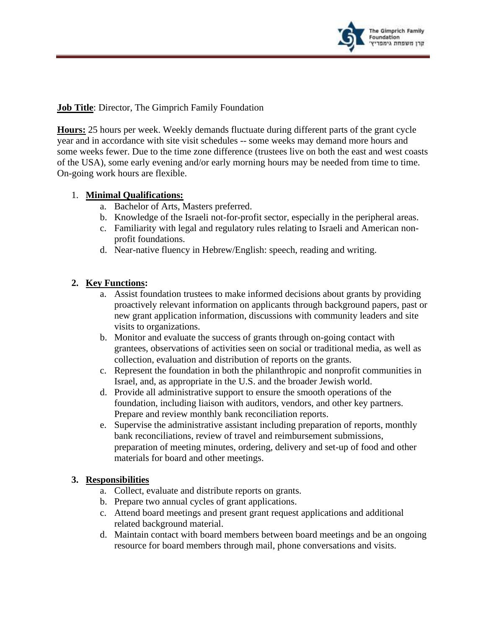

**Job Title**: Director, The Gimprich Family Foundation

**Hours:** 25 hours per week. Weekly demands fluctuate during different parts of the grant cycle year and in accordance with site visit schedules -- some weeks may demand more hours and some weeks fewer. Due to the time zone difference (trustees live on both the east and west coasts of the USA), some early evening and/or early morning hours may be needed from time to time. On-going work hours are flexible.

## 1. **Minimal Qualifications:**

- a. Bachelor of Arts, Masters preferred.
- b. Knowledge of the Israeli not-for-profit sector, especially in the peripheral areas.
- c. Familiarity with legal and regulatory rules relating to Israeli and American nonprofit foundations.
- d. Near-native fluency in Hebrew/English: speech, reading and writing.

## **2. Key Functions:**

- a. Assist foundation trustees to make informed decisions about grants by providing proactively relevant information on applicants through background papers, past or new grant application information, discussions with community leaders and site visits to organizations.
- b. Monitor and evaluate the success of grants through on-going contact with grantees, observations of activities seen on social or traditional media, as well as collection, evaluation and distribution of reports on the grants.
- c. Represent the foundation in both the philanthropic and nonprofit communities in Israel, and, as appropriate in the U.S. and the broader Jewish world.
- d. Provide all administrative support to ensure the smooth operations of the foundation, including liaison with auditors, vendors, and other key partners. Prepare and review monthly bank reconciliation reports.
- e. Supervise the administrative assistant including preparation of reports, monthly bank reconciliations, review of travel and reimbursement submissions, preparation of meeting minutes, ordering, delivery and set-up of food and other materials for board and other meetings.

## **3. Responsibilities**

- a. Collect, evaluate and distribute reports on grants.
- b. Prepare two annual cycles of grant applications.
- c. Attend board meetings and present grant request applications and additional related background material.
- d. Maintain contact with board members between board meetings and be an ongoing resource for board members through mail, phone conversations and visits.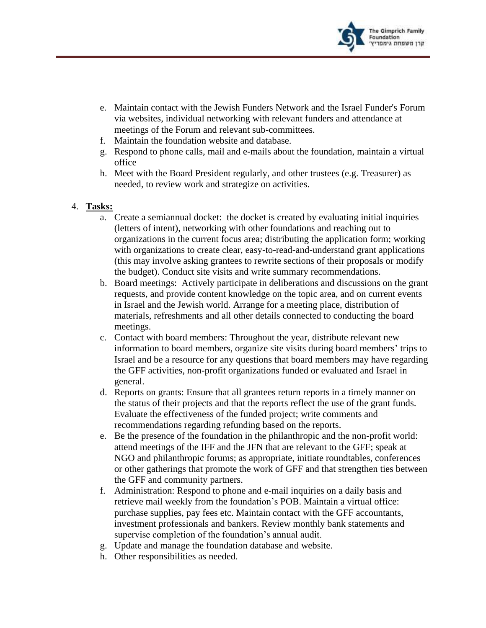

- e. Maintain contact with the Jewish Funders Network and the Israel Funder's Forum via websites, individual networking with relevant funders and attendance at meetings of the Forum and relevant sub-committees.
- f. Maintain the foundation website and database.
- g. Respond to phone calls, mail and e-mails about the foundation, maintain a virtual office
- h. Meet with the Board President regularly, and other trustees (e.g. Treasurer) as needed, to review work and strategize on activities.

## 4. **Tasks:**

- a. Create a semiannual docket: the docket is created by evaluating initial inquiries (letters of intent), networking with other foundations and reaching out to organizations in the current focus area; distributing the application form; working with organizations to create clear, easy-to-read-and-understand grant applications (this may involve asking grantees to rewrite sections of their proposals or modify the budget). Conduct site visits and write summary recommendations.
- b. Board meetings: Actively participate in deliberations and discussions on the grant requests, and provide content knowledge on the topic area, and on current events in Israel and the Jewish world. Arrange for a meeting place, distribution of materials, refreshments and all other details connected to conducting the board meetings.
- c. Contact with board members: Throughout the year, distribute relevant new information to board members, organize site visits during board members' trips to Israel and be a resource for any questions that board members may have regarding the GFF activities, non-profit organizations funded or evaluated and Israel in general.
- d. Reports on grants: Ensure that all grantees return reports in a timely manner on the status of their projects and that the reports reflect the use of the grant funds. Evaluate the effectiveness of the funded project; write comments and recommendations regarding refunding based on the reports.
- e. Be the presence of the foundation in the philanthropic and the non-profit world: attend meetings of the IFF and the JFN that are relevant to the GFF; speak at NGO and philanthropic forums; as appropriate, initiate roundtables, conferences or other gatherings that promote the work of GFF and that strengthen ties between the GFF and community partners.
- f. Administration: Respond to phone and e-mail inquiries on a daily basis and retrieve mail weekly from the foundation's POB. Maintain a virtual office: purchase supplies, pay fees etc. Maintain contact with the GFF accountants, investment professionals and bankers. Review monthly bank statements and supervise completion of the foundation's annual audit.
- g. Update and manage the foundation database and website.
- h. Other responsibilities as needed.